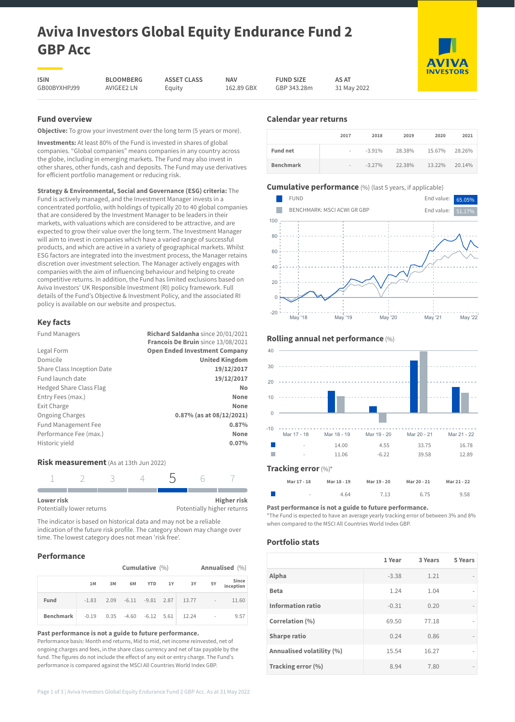# **Aviva Investors Global Equity Endurance Fund 2 GBP Acc**

**ASSET CLASS** Equity

**ISIN** GB00BYXHPJ99 AVIGEE2 LN

**BLOOMBERG**

**NAV** 162.89 GBX **FUND SIZE** GBP 343.28m

**AS AT** 31 May 2022

## **Fund overview**

**Objective:** To grow your investment over the long term (5 years or more).

**Investments:** At least 80% of the Fund is invested in shares of global companies. "Global companies" means companies in any country across the globe, including in emerging markets. The Fund may also invest in other shares, other funds, cash and deposits. The Fund may use derivatives for efficient portfolio management or reducing risk.

**Strategy & Environmental, Social and Governance (ESG) criteria:** The Fund is actively managed, and the Investment Manager invests in a concentrated portfolio, with holdings of typically 20 to 40 global companies that are considered by the Investment Manager to be leaders in their markets, with valuations which are considered to be attractive, and are expected to grow their value over the long term. The Investment Manager will aim to invest in companies which have a varied range of successful products, and which are active in a variety of geographical markets. Whilst ESG factors are integrated into the investment process, the Manager retains discretion over investment selection. The Manager actively engages with companies with the aim of influencing behaviour and helping to create competitive returns. In addition, the Fund has limited exclusions based on Aviva Investors' UK Responsible Investment (RI) policy framework. Full details of the Fund's Objective & Investment Policy, and the associated RI policy is available on our website and prospectus.

# **Key facts**

| <b>Fund Managers</b>           | Richard Saldanha since 20/01/2021    |
|--------------------------------|--------------------------------------|
|                                | Francois De Bruin since 13/08/2021   |
| Legal Form                     | <b>Open Ended Investment Company</b> |
| Domicile                       | <b>United Kingdom</b>                |
| Share Class Inception Date     | 19/12/2017                           |
| Fund launch date               | 19/12/2017                           |
| <b>Hedged Share Class Flag</b> | No                                   |
| Entry Fees (max.)              | None                                 |
| Exit Charge                    | None                                 |
| <b>Ongoing Charges</b>         | $0.87\%$ (as at $08/12/2021$ )       |
| <b>Fund Management Fee</b>     | 0.87%                                |
| Performance Fee (max.)         | None                                 |
| Historic yield                 | 0.07%                                |
|                                |                                      |

#### **Risk measurement** (As at 13th Jun 2022)

| Lower risk                |  |  | <b>Higher risk</b>         |
|---------------------------|--|--|----------------------------|
| Potentially lower returns |  |  | Potentially higher returns |

The indicator is based on historical data and may not be a reliable indication of the future risk profile. The category shown may change over time. The lowest category does not mean 'risk free'.

# **Performance**

|           | <b>Cumulative</b> (%) |    |                         |  |  |                               |            | Annualised (%)     |
|-----------|-----------------------|----|-------------------------|--|--|-------------------------------|------------|--------------------|
|           | 1M                    | 3M | 6M                      |  |  | YTD 1Y 3Y                     | 5Y         | Since<br>inception |
| Fund      | $-1.83$               |    |                         |  |  | 2.09 -6.11 -9.81 2.87 13.77 - |            | 11.60              |
| Benchmark | $-0.19$               |    | $0.35 -4.60 -6.12 5.61$ |  |  | 12.24                         | $\sim$ $-$ | 9.57               |

**Past performance is not a guide to future performance.**

Performance basis: Month end returns, Mid to mid, net income reinvested, net of ongoing charges and fees, in the share class currency and net of tax payable by the fund. The figures do not include the effect of any exit or entry charge. The Fund's performance is compared against the MSCI All Countries World Index GBP.

# **Calendar year returns**

|                  | 2017                     | 2018     | 2019   | 2020   | 2021   |
|------------------|--------------------------|----------|--------|--------|--------|
| <b>Fund net</b>  | $\overline{\phantom{a}}$ | $-3.91%$ | 28.38% | 15.67% | 28.26% |
| <b>Benchmark</b> | $\overline{\phantom{a}}$ | $-3.27%$ | 22.38% | 13.22% | 20.14% |

# **Cumulative performance** (%) (last 5 years, if applicable)





- 4.64 7.13 6.75 9.58 **Past performance is not a guide to future performance.**

\*The Fund is expected to have an average yearly tracking error of between 3% and 8% when compared to the MSCI All Countries World Index GBP.

## **Portfolio stats**

|                           | 1 Year  | 3 Years | 5 Years |
|---------------------------|---------|---------|---------|
| Alpha                     | $-3.38$ | 1.21    |         |
| <b>Beta</b>               | 1.24    | 1.04    |         |
| <b>Information ratio</b>  | $-0.31$ | 0.20    |         |
| Correlation (%)           | 69.50   | 77.18   |         |
| <b>Sharpe ratio</b>       | 0.24    | 0.86    |         |
| Annualised volatility (%) | 15.54   | 16.27   |         |
| Tracking error (%)        | 8.94    | 7.80    |         |

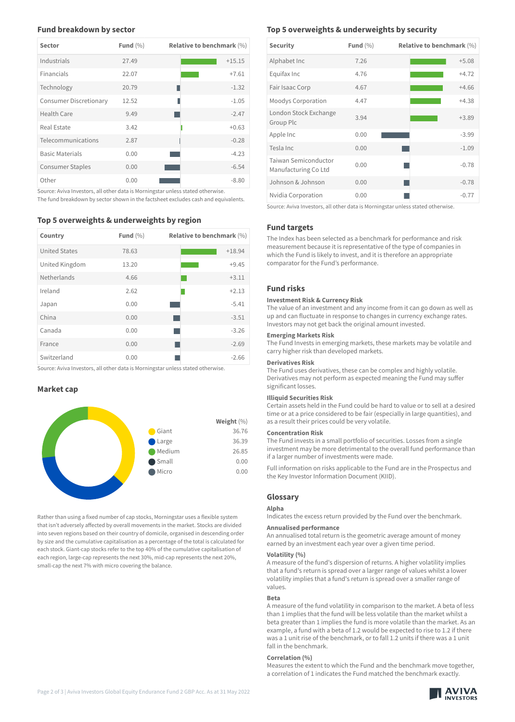## **Fund breakdown by sector**

| <b>Sector</b>                 | Fund $(\% )$ | <b>Relative to benchmark (%)</b> |
|-------------------------------|--------------|----------------------------------|
| Industrials                   | 27.49        | $+15.15$                         |
| Financials                    | 22.07        | $+7.61$                          |
| Technology                    | 20.79        | $-1.32$                          |
| <b>Consumer Discretionary</b> | 12.52        | П<br>$-1.05$                     |
| Health Care                   | 9.49         | $-2.47$                          |
| Real Estate                   | 3.42         | $+0.63$                          |
| Telecommunications            | 2.87         | $-0.28$                          |
| <b>Basic Materials</b>        | 0.00         | $-4.23$                          |
| <b>Consumer Staples</b>       | 0.00         | $-6.54$                          |
| Other                         | 0.00         | $-8.80$                          |

Source: Aviva Investors, all other data is Morningstar unless stated otherwise. The fund breakdown by sector shown in the factsheet excludes cash and equivalents.

## **Top 5 overweights & underweights by region**

| Country              | Fund $(\% )$ | <b>Relative to benchmark (%)</b> |
|----------------------|--------------|----------------------------------|
| <b>United States</b> | 78.63        | $+18.94$                         |
| United Kingdom       | 13.20        | $+9.45$                          |
| Netherlands          | 4.66         | $+3.11$                          |
| Ireland              | 2.62         | $+2.13$                          |
| Japan                | 0.00         | $-5.41$                          |
| China                | 0.00         | $-3.51$                          |
| Canada               | 0.00         | $-3.26$                          |
| France               | 0.00         | $-2.69$                          |
| Switzerland          | 0.00         | $-2.66$                          |

Source: Aviva Investors, all other data is Morningstar unless stated otherwise.

#### **Market cap**



Rather than using a fixed number of cap stocks, Morningstar uses a flexible system that isn't adversely affected by overall movements in the market. Stocks are divided into seven regions based on their country of domicile, organised in descending order by size and the cumulative capitalisation as a percentage of the total is calculated for each stock. Giant-cap stocks refer to the top 40% of the cumulative capitalisation of each region, large-cap represents the next 30%, mid-cap represents the next 20%, small-cap the next 7% with micro covering the balance.

## **Top 5 overweights & underweights by security**

| <b>Security</b>                              | Fund $(\%)$ | <b>Relative to benchmark (%)</b> |
|----------------------------------------------|-------------|----------------------------------|
| Alphabet Inc                                 | 7.26        | $+5.08$                          |
| Equifax Inc                                  | 4.76        | $+4.72$                          |
| Fair Isaac Corp                              | 4.67        | $+4.66$                          |
| Moodys Corporation                           | 4.47        | $+4.38$                          |
| London Stock Exchange<br>Group Plc           | 3.94        | $+3.89$                          |
| Apple Inc                                    | 0.00        | $-3.99$                          |
| Tesla Inc                                    | 0.00        | $-1.09$                          |
| Taiwan Semiconductor<br>Manufacturing Co Ltd | 0.00        | $-0.78$                          |
| Johnson & Johnson                            | 0.00        | $-0.78$                          |
| Nvidia Corporation                           | 0.00        | $-0.77$                          |

Source: Aviva Investors, all other data is Morningstar unless stated otherwise.

# **Fund targets**

The Index has been selected as a benchmark for performance and risk measurement because it is representative of the type of companies in which the Fund is likely to invest, and it is therefore an appropriate comparator for the Fund's performance.

# **Fund risks**

## **Investment Risk & Currency Risk**

The value of an investment and any income from it can go down as well as up and can fluctuate in response to changes in currency exchange rates. Investors may not get back the original amount invested.

#### **Emerging Markets Risk**

The Fund Invests in emerging markets, these markets may be volatile and carry higher risk than developed markets.

#### **Derivatives Risk**

The Fund uses derivatives, these can be complex and highly volatile. Derivatives may not perform as expected meaning the Fund may suffer significant losses.

#### **Illiquid Securities Risk**

Certain assets held in the Fund could be hard to value or to sell at a desired time or at a price considered to be fair (especially in large quantities), and as a result their prices could be very volatile.

#### **Concentration Risk**

The Fund invests in a small portfolio of securities. Losses from a single investment may be more detrimental to the overall fund performance than if a larger number of investments were made.

Full information on risks applicable to the Fund are in the Prospectus and the Key Investor Information Document (KIID).

## **Glossary**

**Alpha**

Indicates the excess return provided by the Fund over the benchmark.

#### **Annualised performance**

An annualised total return is the geometric average amount of money earned by an investment each year over a given time period.

#### **Volatility (%)**

A measure of the fund's dispersion of returns. A higher volatility implies that a fund's return is spread over a larger range of values whilst a lower volatility implies that a fund's return is spread over a smaller range of values.

#### **Beta**

A measure of the fund volatility in comparison to the market. A beta of less than 1 implies that the fund will be less volatile than the market whilst a beta greater than 1 implies the fund is more volatile than the market. As an example, a fund with a beta of 1.2 would be expected to rise to 1.2 if there was a 1 unit rise of the benchmark, or to fall 1.2 units if there was a 1 unit fall in the benchmark.

#### **Correlation (%)**

Measures the extent to which the Fund and the benchmark move together, a correlation of 1 indicates the Fund matched the benchmark exactly.